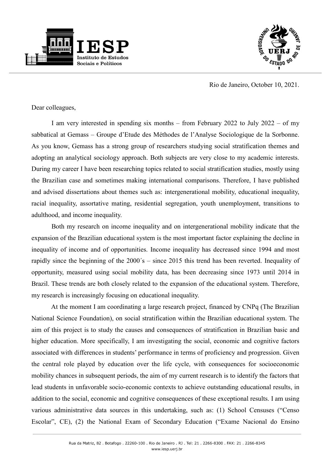



Rio de Janeiro, October 10, 2021.

Dear colleagues,

I am very interested in spending six months – from February 2022 to July 2022 – of my sabbatical at Gemass – Groupe d'Etude des Méthodes de l'Analyse Sociologique de la Sorbonne. As you know, Gemass has a strong group of researchers studying social stratification themes and adopting an analytical sociology approach. Both subjects are very close to my academic interests. During my career I have been researching topics related to social stratification studies, mostly using the Brazilian case and sometimes making international comparisons. Therefore, I have published and advised dissertations about themes such as: intergenerational mobility, educational inequality, racial inequality, assortative mating, residential segregation, youth unemployment, transitions to adulthood, and income inequality.

Both my research on income inequality and on intergenerational mobility indicate that the expansion of the Brazilian educational system is the most important factor explaining the decline in inequality of income and of opportunities. Income inequality has decreased since 1994 and most rapidly since the beginning of the 2000´s – since 2015 this trend has been reverted. Inequality of opportunity, measured using social mobility data, has been decreasing since 1973 until 2014 in Brazil. These trends are both closely related to the expansion of the educational system. Therefore, my research is increasingly focusing on educational inequality.

At the moment I am coordinating a large research project, financed by CNPq (The Brazilian National Science Foundation), on social stratification within the Brazilian educational system. The aim of this project is to study the causes and consequences of stratification in Brazilian basic and higher education. More specifically, I am investigating the social, economic and cognitive factors associated with differences in students' performance in terms of proficiency and progression. Given the central role played by education over the life cycle, with consequences for socioeconomic mobility chances in subsequent periods, the aim of my current research is to identify the factors that lead students in unfavorable socio-economic contexts to achieve outstanding educational results, in addition to the social, economic and cognitive consequences of these exceptional results. I am using various administrative data sources in this undertaking, such as: (1) School Censuses ("Censo Escolar", CE), (2) the National Exam of Secondary Education ("Exame Nacional do Ensino